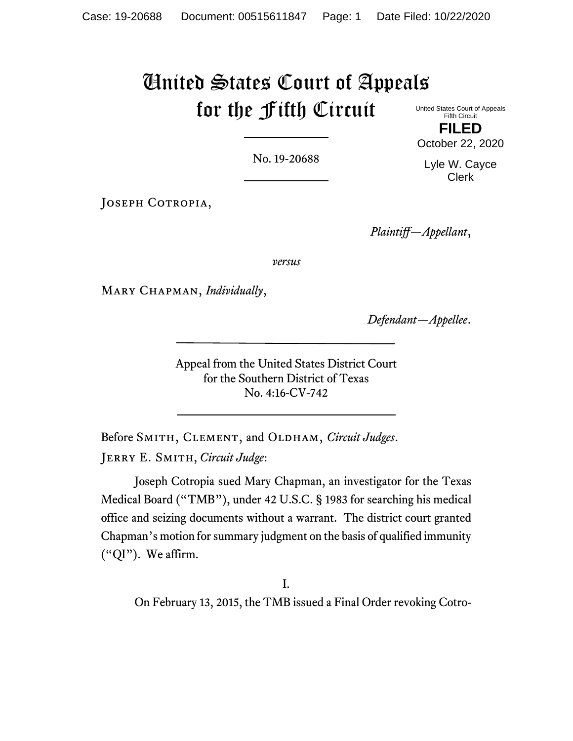# United States Court of Appeals for the Fifth Circuit

United States Court of Appeals Fifth Circuit **FILED**

No. 19-20688

JOSEPH COTROPIA,

*Plaintiff—Appellant*,

*versus*

Mary Chapman, *Individually*,

*Defendant—Appellee*.

Appeal from the United States District Court for the Southern District of Texas No. 4:16-CV-742

Before SMITH, CLEMENT, and OLDHAM, *Circuit Judges*. Jerry E. Smith, *Circuit Judge*:

Joseph Cotropia sued Mary Chapman, an investigator for the Texas Medical Board ("TMB"), under 42 U.S.C. § 1983 for searching his medical office and seizing documents without a warrant. The district court granted Chapman's motion for summary judgment on the basis of qualified immunity ("QI"). We affirm.

I.

On February 13, 2015, the TMB issued a Final Order revoking Cotro-

October 22, 2020 Lyle W. Cayce Clerk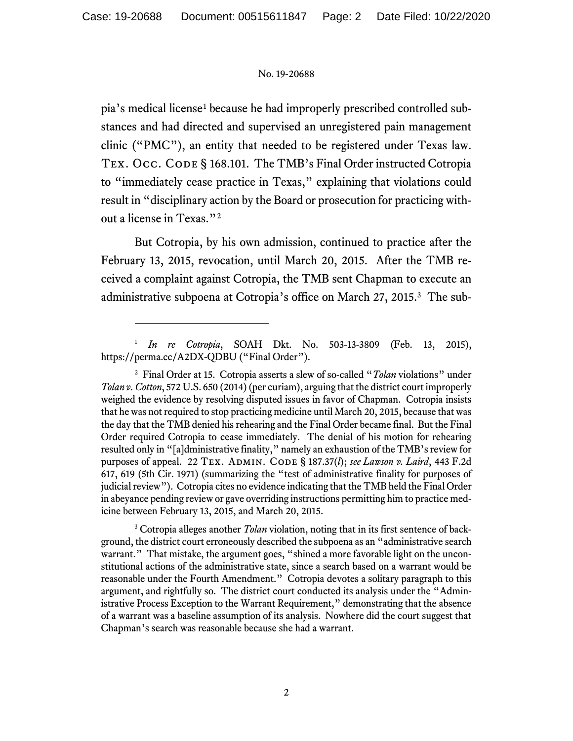pia's medical license[1](#page-1-0) because he had improperly prescribed controlled substances and had directed and supervised an unregistered pain management clinic ("PMC"), an entity that needed to be registered under Texas law. TEX. OCC. CODE § 168.101. The TMB's Final Order instructed Cotropia to "immediately cease practice in Texas," explaining that violations could result in "disciplinary action by the Board or prosecution for practicing without a license in Texas."[2](#page-1-1)

But Cotropia, by his own admission, continued to practice after the February 13, 2015, revocation, until March 20, 2015. After the TMB received a complaint against Cotropia, the TMB sent Chapman to execute an administrative subpoena at Cotropia's office on March 27, 2015.[3](#page-1-2) The sub-

<span id="page-1-2"></span><sup>3</sup> Cotropia alleges another *Tolan* violation, noting that in its first sentence of background, the district court erroneously described the subpoena as an "administrative search warrant." That mistake, the argument goes, "shined a more favorable light on the unconstitutional actions of the administrative state, since a search based on a warrant would be reasonable under the Fourth Amendment." Cotropia devotes a solitary paragraph to this argument, and rightfully so. The district court conducted its analysis under the "Administrative Process Exception to the Warrant Requirement," demonstrating that the absence of a warrant was a baseline assumption of its analysis. Nowhere did the court suggest that Chapman's search was reasonable because she had a warrant.

<span id="page-1-0"></span><sup>1</sup> *In re Cotropia*, SOAH Dkt. No. 503-13-3809 (Feb. 13, 2015), https://perma.cc/A2DX-QDBU ("Final Order").

<span id="page-1-1"></span><sup>2</sup> Final Order at 15. Cotropia asserts a slew of so-called "*Tolan* violations" under *Tolan v. Cotton*, 572 U.S. 650 (2014) (per curiam), arguing that the district court improperly weighed the evidence by resolving disputed issues in favor of Chapman. Cotropia insists that he was not required to stop practicing medicine until March 20, 2015, because that was the day that the TMB denied his rehearing and the Final Order became final. But the Final Order required Cotropia to cease immediately. The denial of his motion for rehearing resulted only in "[a]dministrative finality," namely an exhaustion of the TMB's review for purposes of appeal. 22 Tex. Admin. Code § 187.37(*l*); *see Lawson v. Laird*, 443 F.2d 617, 619 (5th Cir. 1971) (summarizing the "test of administrative finality for purposes of judicial review"). Cotropia cites no evidence indicating that the TMB held the Final Order in abeyance pending review or gave overriding instructions permitting him to practice medicine between February 13, 2015, and March 20, 2015.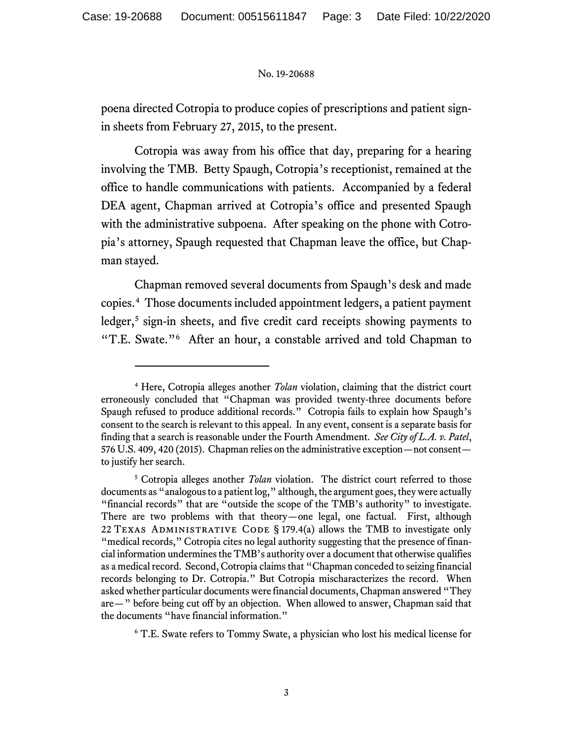poena directed Cotropia to produce copies of prescriptions and patient signin sheets from February 27, 2015, to the present.

Cotropia was away from his office that day, preparing for a hearing involving the TMB. Betty Spaugh, Cotropia's receptionist, remained at the office to handle communications with patients. Accompanied by a federal DEA agent, Chapman arrived at Cotropia's office and presented Spaugh with the administrative subpoena. After speaking on the phone with Cotropia's attorney, Spaugh requested that Chapman leave the office, but Chapman stayed.

Chapman removed several documents from Spaugh's desk and made copies.[4](#page-2-0) Those documents included appointment ledgers, a patient payment ledger,<sup>[5](#page-2-1)</sup> sign-in sheets, and five credit card receipts showing payments to "T.E. Swate."[6](#page-2-2) After an hour, a constable arrived and told Chapman to

<span id="page-2-0"></span><sup>4</sup> Here, Cotropia alleges another *Tolan* violation, claiming that the district court erroneously concluded that "Chapman was provided twenty-three documents before Spaugh refused to produce additional records." Cotropia fails to explain how Spaugh's consent to the search is relevant to this appeal. In any event, consent is a separate basis for finding that a search is reasonable under the Fourth Amendment. *See City of L.A. v. Patel*, 576 U.S. 409, 420 (2015). Chapman relies on the administrative exception—not consent to justify her search.

<span id="page-2-1"></span><sup>5</sup> Cotropia alleges another *Tolan* violation. The district court referred to those documents as "analogous to a patient log," although, the argument goes, they were actually "financial records" that are "outside the scope of the TMB's authority" to investigate. There are two problems with that theory—one legal, one factual. First, although 22 TEXAS ADMINISTRATIVE CODE § 179.4(a) allows the TMB to investigate only "medical records," Cotropia cites no legal authority suggesting that the presence of financial information underminesthe TMB's authority over a document that otherwise qualifies as a medical record. Second, Cotropia claims that "Chapman conceded to seizing financial records belonging to Dr. Cotropia." But Cotropia mischaracterizes the record. When asked whether particular documents were financial documents, Chapman answered "They are—" before being cut off by an objection. When allowed to answer, Chapman said that the documents "have financial information."

<span id="page-2-2"></span><sup>6</sup> T.E. Swate refers to Tommy Swate, a physician who lost his medical license for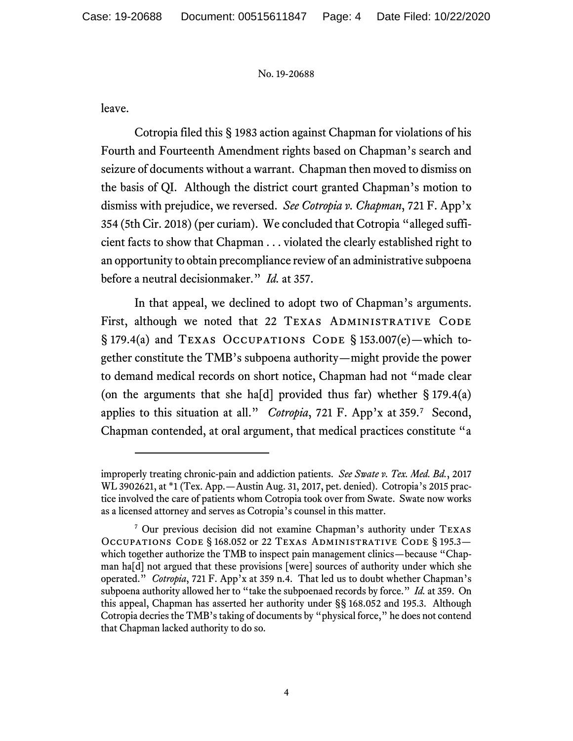leave.

Cotropia filed this § 1983 action against Chapman for violations of his Fourth and Fourteenth Amendment rights based on Chapman's search and seizure of documents without a warrant. Chapman then moved to dismiss on the basis of QI. Although the district court granted Chapman's motion to dismiss with prejudice, we reversed. *See Cotropia v. Chapman*, 721 F. App'x 354 (5th Cir. 2018) (per curiam). We concluded that Cotropia "alleged sufficient facts to show that Chapman . . . violated the clearly established right to an opportunity to obtain precompliance review of an administrative subpoena before a neutral decisionmaker." *Id.* at 357.

In that appeal, we declined to adopt two of Chapman's arguments. First, although we noted that 22 TEXAS ADMINISTRATIVE CODE § 179.4(a) and Texas Occupations Code § 153.007(e)—which together constitute the TMB's subpoena authority—might provide the power to demand medical records on short notice, Chapman had not "made clear (on the arguments that she ha[d] provided thus far) whether  $\S 179.4(a)$ applies to this situation at all." *Cotropia*, 721 F. App'x at 359.[7](#page-3-0) Second, Chapman contended, at oral argument, that medical practices constitute "a

improperly treating chronic-pain and addiction patients. *See Swate v. Tex. Med. Bd.*, 2017 WL 3902621, at \*1 (Tex. App.—Austin Aug. 31, 2017, pet. denied). Cotropia's 2015 practice involved the care of patients whom Cotropia took over from Swate. Swate now works as a licensed attorney and serves as Cotropia's counsel in this matter.

<span id="page-3-0"></span><sup>7</sup> Our previous decision did not examine Chapman's authority under Texas Occupations Code § 168.052 or 22 Texas Administrative Code § 195.3 which together authorize the TMB to inspect pain management clinics—because "Chapman ha[d] not argued that these provisions [were] sources of authority under which she operated." *Cotropia*, 721 F. App'x at 359 n.4. That led us to doubt whether Chapman's subpoena authority allowed her to "take the subpoenaed records by force." *Id.* at 359. On this appeal, Chapman has asserted her authority under §§ 168.052 and 195.3. Although Cotropia decries the TMB's taking of documents by "physical force," he does not contend that Chapman lacked authority to do so.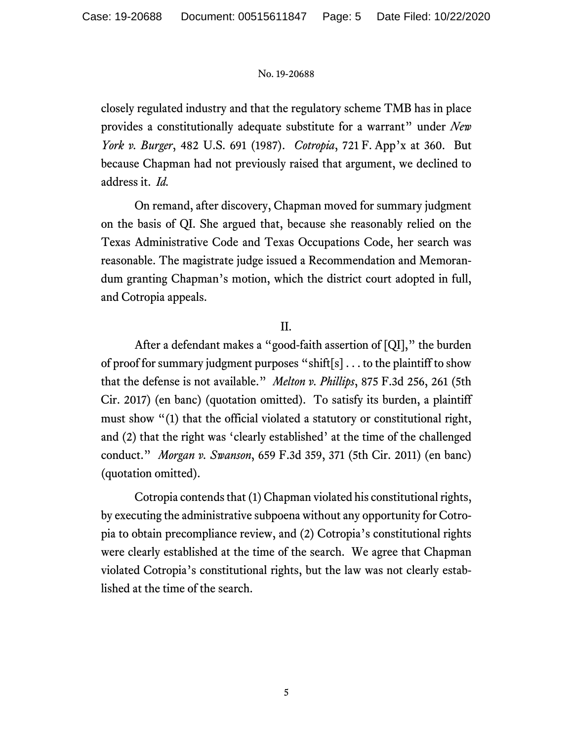closely regulated industry and that the regulatory scheme TMB has in place provides a constitutionally adequate substitute for a warrant" under *New York v. Burger*, 482 U.S. 691 (1987). *Cotropia*, 721 F. App'x at 360. But because Chapman had not previously raised that argument, we declined to address it. *Id.*

On remand, after discovery, Chapman moved for summary judgment on the basis of QI. She argued that, because she reasonably relied on the Texas Administrative Code and Texas Occupations Code, her search was reasonable. The magistrate judge issued a Recommendation and Memorandum granting Chapman's motion, which the district court adopted in full, and Cotropia appeals.

# II.

After a defendant makes a "good-faith assertion of [QI]," the burden of proof for summary judgment purposes "shift[s] . . . to the plaintiff to show that the defense is not available." *Melton v. Phillips*, 875 F.3d 256, 261 (5th Cir. 2017) (en banc) (quotation omitted). To satisfy its burden, a plaintiff must show "(1) that the official violated a statutory or constitutional right, and (2) that the right was 'clearly established' at the time of the challenged conduct." *Morgan v. Swanson*, 659 F.3d 359, 371 (5th Cir. 2011) (en banc) (quotation omitted).

Cotropia contends that (1) Chapman violated his constitutional rights, by executing the administrative subpoena without any opportunity for Cotropia to obtain precompliance review, and (2) Cotropia's constitutional rights were clearly established at the time of the search. We agree that Chapman violated Cotropia's constitutional rights, but the law was not clearly established at the time of the search.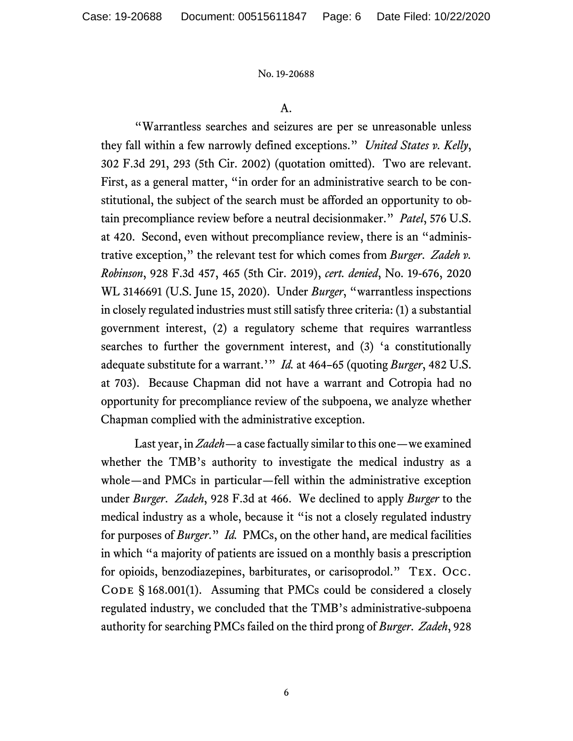A.

"Warrantless searches and seizures are per se unreasonable unless they fall within a few narrowly defined exceptions." *United States v. Kelly*, 302 F.3d 291, 293 (5th Cir. 2002) (quotation omitted). Two are relevant. First, as a general matter, "in order for an administrative search to be constitutional, the subject of the search must be afforded an opportunity to obtain precompliance review before a neutral decisionmaker." *Patel*, 576 U.S. at 420. Second, even without precompliance review, there is an "administrative exception," the relevant test for which comes from *Burger*. *Zadeh v. Robinson*, 928 F.3d 457, 465 (5th Cir. 2019), *cert. denied*, No. 19-676, 2020 WL 3146691 (U.S. June 15, 2020). Under *Burger*, "warrantless inspections in closely regulated industries must still satisfy three criteria: (1) a substantial government interest, (2) a regulatory scheme that requires warrantless searches to further the government interest, and (3) 'a constitutionally adequate substitute for a warrant.'" *Id.* at 464–65 (quoting *Burger*, 482 U.S. at 703). Because Chapman did not have a warrant and Cotropia had no opportunity for precompliance review of the subpoena, we analyze whether Chapman complied with the administrative exception.

Last year, in *Zadeh*—a case factually similar to this one—we examined whether the TMB's authority to investigate the medical industry as a whole—and PMCs in particular—fell within the administrative exception under *Burger*. *Zadeh*, 928 F.3d at 466. We declined to apply *Burger* to the medical industry as a whole, because it "is not a closely regulated industry for purposes of *Burger*." *Id.* PMCs, on the other hand, are medical facilities in which "a majority of patients are issued on a monthly basis a prescription for opioids, benzodiazepines, barbiturates, or carisoprodol." Tex. Occ. CODE  $\S$  168.001(1). Assuming that PMCs could be considered a closely regulated industry, we concluded that the TMB's administrative-subpoena authority for searching PMCs failed on the third prong of *Burger*. *Zadeh*, 928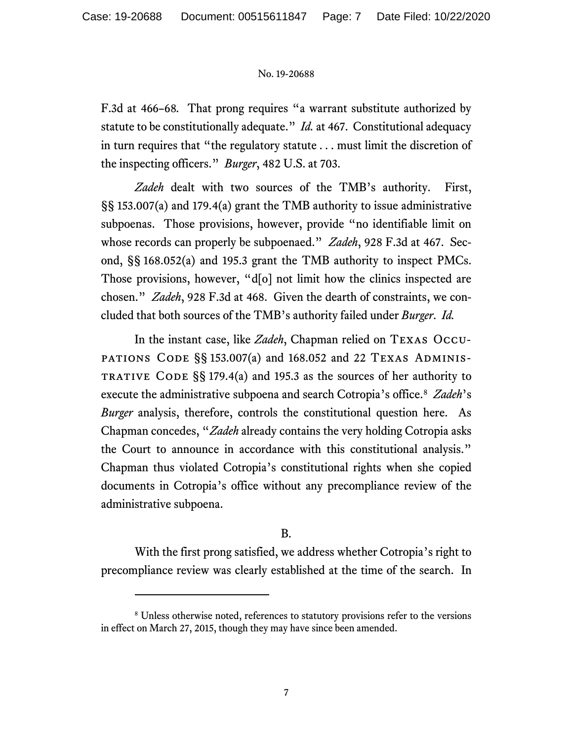F.3d at 466–68*.* That prong requires "a warrant substitute authorized by statute to be constitutionally adequate." *Id.* at 467. Constitutional adequacy in turn requires that "the regulatory statute . . . must limit the discretion of the inspecting officers." *Burger*, 482 U.S. at 703.

*Zadeh* dealt with two sources of the TMB's authority. First, §§ 153.007(a) and 179.4(a) grant the TMB authority to issue administrative subpoenas. Those provisions, however, provide "no identifiable limit on whose records can properly be subpoenaed." *Zadeh*, 928 F.3d at 467. Second, §§ 168.052(a) and 195.3 grant the TMB authority to inspect PMCs. Those provisions, however, "d[o] not limit how the clinics inspected are chosen." *Zadeh*, 928 F.3d at 468. Given the dearth of constraints, we concluded that both sources of the TMB's authority failed under *Burger*. *Id.*

In the instant case, like *Zadeh*, Chapman relied on Texas Occu-PATIONS CODE  $\S$ § 153.007(a) and 168.052 and 22 TEXAS ADMINIS-TRATIVE CODE  $\S$ § 179.4(a) and 195.3 as the sources of her authority to execute the administrative subpoena and search Cotropia's office. [8](#page-6-0) *Zadeh*'s *Burger* analysis, therefore, controls the constitutional question here. As Chapman concedes, "*Zadeh* already contains the very holding Cotropia asks the Court to announce in accordance with this constitutional analysis." Chapman thus violated Cotropia's constitutional rights when she copied documents in Cotropia's office without any precompliance review of the administrative subpoena.

## B.

With the first prong satisfied, we address whether Cotropia's right to precompliance review was clearly established at the time of the search. In

<span id="page-6-0"></span><sup>&</sup>lt;sup>8</sup> Unless otherwise noted, references to statutory provisions refer to the versions in effect on March 27, 2015, though they may have since been amended.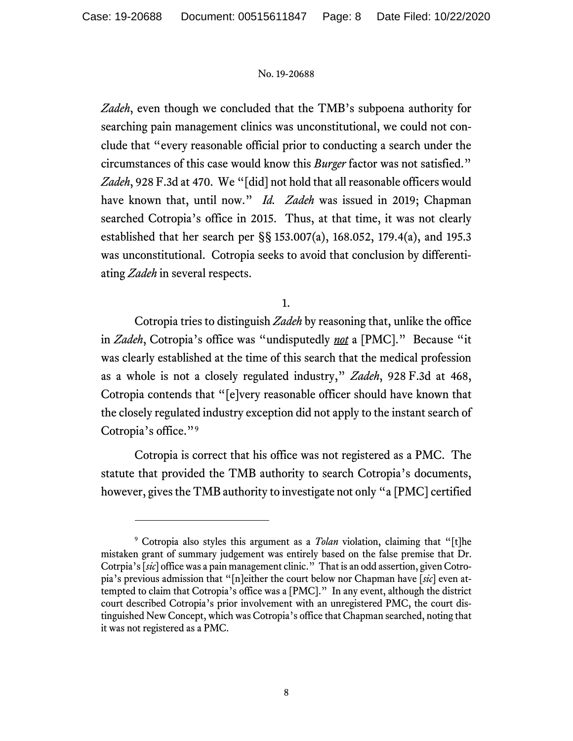*Zadeh*, even though we concluded that the TMB's subpoena authority for searching pain management clinics was unconstitutional, we could not conclude that "every reasonable official prior to conducting a search under the circumstances of this case would know this *Burger* factor was not satisfied." *Zadeh*, 928 F.3d at 470. We "[did] not hold that all reasonable officers would have known that, until now." *Id. Zadeh* was issued in 2019; Chapman searched Cotropia's office in 2015. Thus, at that time, it was not clearly established that her search per §§ 153.007(a), 168.052, 179.4(a), and 195.3 was unconstitutional. Cotropia seeks to avoid that conclusion by differentiating *Zadeh* in several respects.

1.

Cotropia tries to distinguish *Zadeh* by reasoning that, unlike the office in *Zadeh*, Cotropia's office was "undisputedly *not* a [PMC]." Because "it was clearly established at the time of this search that the medical profession as a whole is not a closely regulated industry," *Zadeh*, 928 F.3d at 468, Cotropia contends that "[e]very reasonable officer should have known that the closely regulated industry exception did not apply to the instant search of Cotropia's office."[9](#page-7-0)

Cotropia is correct that his office was not registered as a PMC. The statute that provided the TMB authority to search Cotropia's documents, however, gives the TMB authority to investigate not only "a [PMC] certified

<span id="page-7-0"></span><sup>9</sup> Cotropia also styles this argument as a *Tolan* violation, claiming that "[t]he mistaken grant of summary judgement was entirely based on the false premise that Dr. Cotrpia's [*sic*] office was a pain management clinic." That is an odd assertion, given Cotropia's previous admission that "[n]either the court below nor Chapman have [*sic*] even attempted to claim that Cotropia's office was a [PMC]." In any event, although the district court described Cotropia's prior involvement with an unregistered PMC, the court distinguished New Concept, which was Cotropia's office that Chapman searched, noting that it was not registered as a PMC.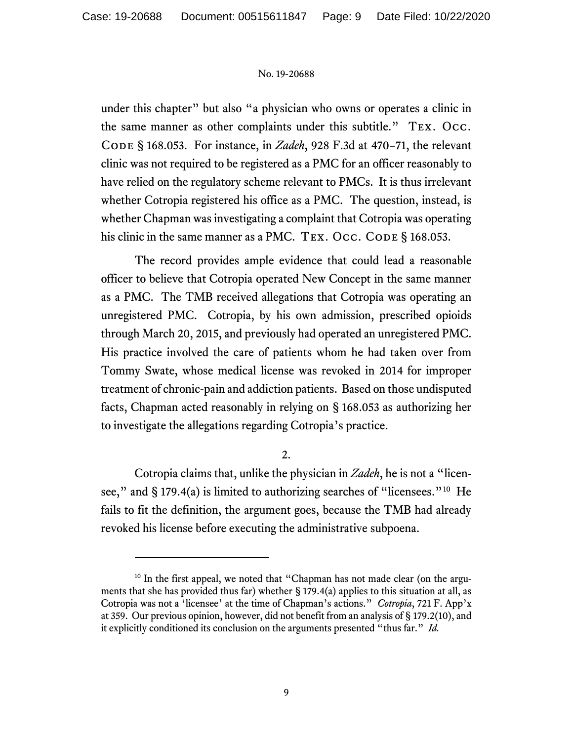under this chapter" but also "a physician who owns or operates a clinic in the same manner as other complaints under this subtitle." Tex. Occ. Code § 168.053. For instance, in *Zadeh*, 928 F.3d at 470−71, the relevant clinic was not required to be registered as a PMC for an officer reasonably to have relied on the regulatory scheme relevant to PMCs. It is thus irrelevant whether Cotropia registered his office as a PMC. The question, instead, is whether Chapman was investigating a complaint that Cotropia was operating his clinic in the same manner as a PMC. TEX. Occ. CODE § 168.053.

The record provides ample evidence that could lead a reasonable officer to believe that Cotropia operated New Concept in the same manner as a PMC. The TMB received allegations that Cotropia was operating an unregistered PMC. Cotropia, by his own admission, prescribed opioids through March 20, 2015, and previously had operated an unregistered PMC. His practice involved the care of patients whom he had taken over from Tommy Swate, whose medical license was revoked in 2014 for improper treatment of chronic-pain and addiction patients. Based on those undisputed facts, Chapman acted reasonably in relying on § 168.053 as authorizing her to investigate the allegations regarding Cotropia's practice.

### $2<sub>1</sub>$

Cotropia claims that, unlike the physician in *Zadeh*, he is not a "licen-see," and § 179.4(a) is limited to authorizing searches of "licensees."<sup>[10](#page-8-0)</sup> He fails to fit the definition, the argument goes, because the TMB had already revoked his license before executing the administrative subpoena.

<span id="page-8-0"></span><sup>&</sup>lt;sup>10</sup> In the first appeal, we noted that "Chapman has not made clear (on the arguments that she has provided thus far) whether  $\S 179.4(a)$  applies to this situation at all, as Cotropia was not a 'licensee' at the time of Chapman's actions." *Cotropia*, 721 F. App'x at 359. Our previous opinion, however, did not benefit from an analysis of § 179.2(10), and it explicitly conditioned its conclusion on the arguments presented "thus far." *Id.*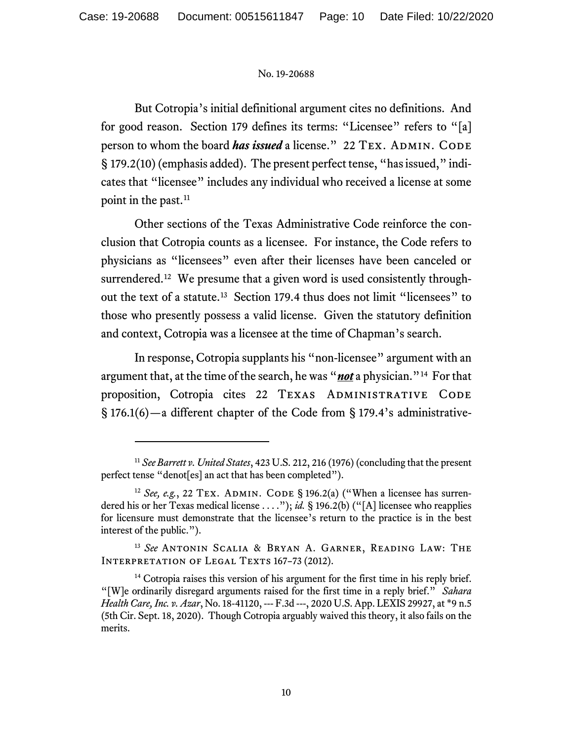But Cotropia's initial definitional argument cites no definitions. And for good reason. Section 179 defines its terms: "Licensee" refers to "[a] person to whom the board *has issued* a license." 22 TEX. ADMIN. CODE § 179.2(10)(emphasis added). The present perfect tense, "has issued," indicates that "licensee" includes any individual who received a license at some point in the past.<sup>[11](#page-9-0)</sup>

Other sections of the Texas Administrative Code reinforce the conclusion that Cotropia counts as a licensee. For instance, the Code refers to physicians as "licensees" even after their licenses have been canceled or surrendered.<sup>[12](#page-9-1)</sup> We presume that a given word is used consistently throughout the text of a statute. [13](#page-9-2) Section 179.4 thus does not limit "licensees" to those who presently possess a valid license. Given the statutory definition and context, Cotropia was a licensee at the time of Chapman's search.

In response, Cotropia supplants his "non-licensee" argument with an argument that, at the time of the search, he was "*not* a physician."[14](#page-9-3) For that proposition, Cotropia cites 22 TEXAS ADMINISTRATIVE CODE § 176.1(6)—a different chapter of the Code from § 179.4's administrative-

<span id="page-9-0"></span><sup>11</sup> *See Barrett v. United States*, 423 U.S. 212, 216 (1976) (concluding that the present perfect tense "denot[es] an act that has been completed").

<span id="page-9-1"></span><sup>&</sup>lt;sup>12</sup> *See*, *e.g.*, 22 TEX. ADMIN. CODE § 196.2(a) ("When a licensee has surrendered his or her Texas medical license . . . ."); *id.* § 196.2(b) ("[A] licensee who reapplies for licensure must demonstrate that the licensee's return to the practice is in the best interest of the public.").

<span id="page-9-2"></span><sup>13</sup> *See* Antonin Scalia & Bryan A. Garner, Reading Law: The INTERPRETATION OF LEGAL TEXTS 167-73 (2012).

<span id="page-9-3"></span><sup>&</sup>lt;sup>14</sup> Cotropia raises this version of his argument for the first time in his reply brief. "[W]e ordinarily disregard arguments raised for the first time in a reply brief." *Sahara Health Care, Inc. v. Azar*, No. 18-41120, --- F.3d ---, 2020 U.S. App. LEXIS 29927, at \*9 n.5 (5th Cir. Sept. 18, 2020). Though Cotropia arguably waived this theory, it also fails on the merits.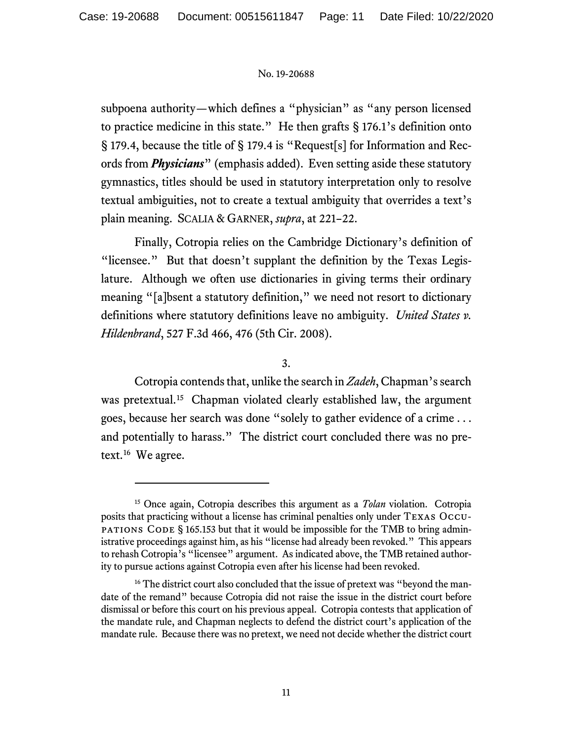subpoena authority—which defines a "physician" as "any person licensed to practice medicine in this state." He then grafts § 176.1's definition onto § 179.4, because the title of § 179.4 is "Request[s] for Information and Records from *Physicians*" (emphasis added). Even setting aside these statutory gymnastics, titles should be used in statutory interpretation only to resolve textual ambiguities, not to create a textual ambiguity that overrides a text's plain meaning. SCALIA & GARNER, *supra*, at 221–22.

Finally, Cotropia relies on the Cambridge Dictionary's definition of "licensee." But that doesn't supplant the definition by the Texas Legislature. Although we often use dictionaries in giving terms their ordinary meaning "[a]bsent a statutory definition," we need not resort to dictionary definitions where statutory definitions leave no ambiguity. *United States v. Hildenbrand*, 527 F.3d 466, 476 (5th Cir. 2008).

# 3.

Cotropia contends that, unlike the search in Zadeh, Chapman's search was pretextual.<sup>[15](#page-10-0)</sup> Chapman violated clearly established law, the argument goes, because her search was done "solely to gather evidence of a crime . . . and potentially to harass." The district court concluded there was no pretext.[16](#page-10-1) We agree.

<span id="page-10-0"></span><sup>15</sup> Once again, Cotropia describes this argument as a *Tolan* violation. Cotropia posits that practicing without a license has criminal penalties only under Texas Occu-**PATIONS** CODE  $\S$  165.153 but that it would be impossible for the TMB to bring administrative proceedings against him, as his "license had already been revoked." This appears to rehash Cotropia's "licensee" argument. As indicated above, the TMB retained authority to pursue actions against Cotropia even after his license had been revoked.

<span id="page-10-1"></span><sup>&</sup>lt;sup>16</sup> The district court also concluded that the issue of pretext was "beyond the mandate of the remand" because Cotropia did not raise the issue in the district court before dismissal or before this court on his previous appeal. Cotropia contests that application of the mandate rule, and Chapman neglects to defend the district court's application of the mandate rule. Because there was no pretext, we need not decide whether the district court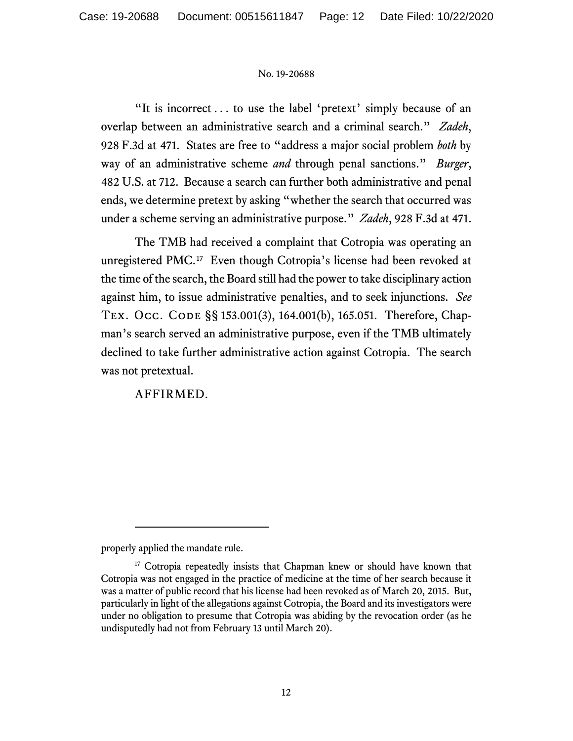"It is incorrect . . . to use the label 'pretext' simply because of an overlap between an administrative search and a criminal search." *Zadeh*, 928 F.3d at 471. States are free to "address a major social problem *both* by way of an administrative scheme *and* through penal sanctions." *Burger*, 482 U.S. at 712. Because a search can further both administrative and penal ends, we determine pretext by asking "whether the search that occurred was under a scheme serving an administrative purpose." *Zadeh*, 928 F.3d at 471.

The TMB had received a complaint that Cotropia was operating an unregistered PMC. [17](#page-11-0) Even though Cotropia's license had been revoked at the time of the search, the Board still had the power to take disciplinary action against him, to issue administrative penalties, and to seek injunctions. *See* Tex. Occ. Code §§ 153.001(3), 164.001(b), 165.051. Therefore, Chapman's search served an administrative purpose, even if the TMB ultimately declined to take further administrative action against Cotropia. The search was not pretextual.

AFFIRMED.

properly applied the mandate rule.

<span id="page-11-0"></span><sup>&</sup>lt;sup>17</sup> Cotropia repeatedly insists that Chapman knew or should have known that Cotropia was not engaged in the practice of medicine at the time of her search because it was a matter of public record that his license had been revoked as of March 20, 2015. But, particularly in light of the allegations against Cotropia, the Board and its investigators were under no obligation to presume that Cotropia was abiding by the revocation order (as he undisputedly had not from February 13 until March 20).